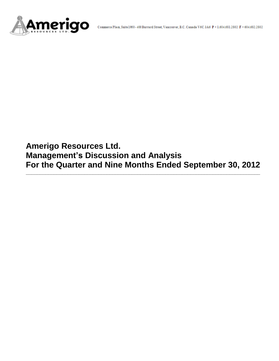

**Amerigo Resources Ltd. Management's Discussion and Analysis For the Quarter and Nine Months Ended September 30, 2012**

**\_\_\_\_\_\_\_\_\_\_\_\_\_\_\_\_\_\_\_\_\_\_\_\_\_\_\_\_\_\_\_\_\_\_\_\_\_\_\_\_\_\_\_\_\_\_\_\_\_\_\_\_\_\_\_\_\_\_\_\_\_\_\_\_\_\_\_\_\_\_\_\_\_\_\_\_\_\_\_\_\_\_\_\_**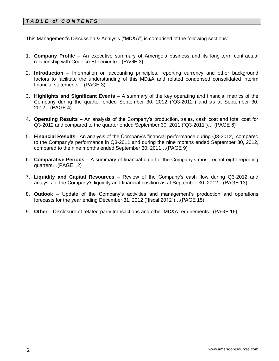# *T A B L E of C O N T E NT S*

This Management's Discussion & Analysis ("MD&A") is comprised of the following sections:

- 1. **Company Profile**  An executive summary of Amerigo's business and its long-term contractual relationship with Codelco-El Teniente…(PAGE 3)
- 2. **Introduction**  Information on accounting principles, reporting currency and other background factors to facilitate the understanding of this MD&A and related condensed consolidated interim financial statements... (PAGE 3)
- 3. **Highlights and Significant Events** A summary of the key operating and financial metrics of the Company during the quarter ended September 30, 2012 ("Q3-2012") and as at September 30, 2012…(PAGE 4)
- 4. **Operating Results** An analysis of the Company's production, sales, cash cost and total cost for Q3-2012 and compared to the quarter ended September 30, 2011 ("Q3-2011")… (PAGE 6)
- 5. **Financial Results** An analysis of the Company's financial performance during Q3-2012, compared to the Company's performance in Q3-2011 and during the nine months ended September 30, 2012, compared to the nine months ended September 30, 2011…(PAGE 9)
- 6. **Comparative Periods** A summary of financial data for the Company's most recent eight reporting quarters…(PAGE 12)
- 7. **Liquidity and Capital Resources** Review of the Company's cash flow during Q3-2012 and analysis of the Company's liquidity and financial position as at September 30, 2012…(PAGE 13)
- 8. **Outlook** Update of the Company's activities and management's production and operations forecasts for the year ending December 31, 2012 ("fiscal 2012")…(PAGE 15)
- 9. **Other** Disclosure of related party transactions and other MD&A requirements...(PAGE 16)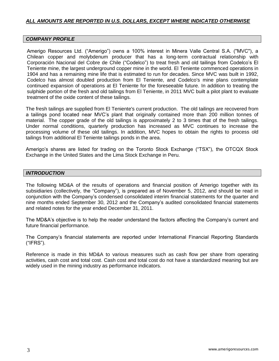# *ALL AMOUNTS ARE REPORTED IN U.S. DOLLARS, EXCEPT WHERE INDICATED OTHERWISE*

## *COMPANY PROFILE*

Amerigo Resources Ltd. ("Amerigo") owns a 100% interest in Minera Valle Central S.A. ("MVC"), a Chilean copper and molybdenum producer that has a long-term contractual relationship with Corporación Nacional del Cobre de Chile ("Codelco") to treat fresh and old tailings from Codelco's El Teniente mine, the largest underground copper mine in the world. El Teniente commenced operations in 1904 and has a remaining mine life that is estimated to run for decades. Since MVC was built in 1992, Codelco has almost doubled production from El Teniente, and Codelco's mine plans contemplate continued expansion of operations at El Teniente for the foreseeable future. In addition to treating the sulphide portion of the fresh and old tailings from El Teniente, in 2011 MVC built a pilot plant to evaluate treatment of the oxide content of these tailings.

The fresh tailings are supplied from El Teniente's current production. The old tailings are recovered from a tailings pond located near MVC's plant that originally contained more than 200 million tonnes of material. The copper grade of the old tailings is approximately 2 to 3 times that of the fresh tailings. Under normal conditions, quarterly production has increased as MVC continues to increase the processing volume of these old tailings. In addition, MVC hopes to obtain the rights to process old tailings from additional El Teniente tailings ponds in the area.

Amerigo's shares are listed for trading on the Toronto Stock Exchange ("TSX"), the OTCQX Stock Exchange in the United States and the Lima Stock Exchange in Peru.

## *INTRODUCTION*

The following MD&A of the results of operations and financial position of Amerigo together with its subsidiaries (collectively, the "Company"), is prepared as of November 5, 2012, and should be read in conjunction with the Company's condensed consolidated interim financial statements for the quarter and nine months ended September 30, 2012 and the Company's audited consolidated financial statements and related notes for the year ended December 31, 2011.

The MD&A's objective is to help the reader understand the factors affecting the Company's current and future financial performance.

The Company's financial statements are reported under International Financial Reporting Standards ("IFRS").

Reference is made in this MD&A to various measures such as cash flow per share from operating activities, cash cost and total cost. Cash cost and total cost do not have a standardized meaning but are widely used in the mining industry as performance indicators.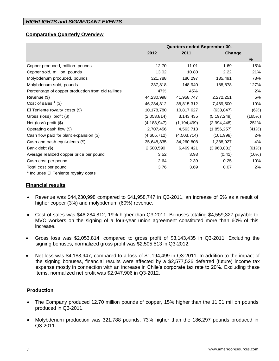# *HIGHLIGHTS and SIGNIFICANT EVENTS*

### **Comparative Quarterly Overview**

|                                                   | Quarters ended September 30, |               |               |        |  |  |
|---------------------------------------------------|------------------------------|---------------|---------------|--------|--|--|
|                                                   | 2012                         | 2011          | Change        |        |  |  |
|                                                   |                              |               |               | $\%$   |  |  |
| Copper produced, million pounds                   | 12.70                        | 11.01         | 1.69          | 15%    |  |  |
| Copper sold, million pounds                       | 13.02                        | 10.80         | 2.22          | 21%    |  |  |
| Molybdenum produced, pounds                       | 321,788                      | 186,297       | 135,491       | 73%    |  |  |
| Molybdenum sold, pounds                           | 337,818                      | 148,940       | 188,878       | 127%   |  |  |
| Percentage of copper production from old tailings | 47%                          | 45%           |               | 2%     |  |  |
| Revenue (\$)                                      | 44,230,998                   | 41,958,747    | 2,272,251     | 5%     |  |  |
| Cost of sales $(3)$                               | 46,284,812                   | 38,815,312    | 7,469,500     | 19%    |  |  |
| El Teniente royalty costs (\$)                    | 10,178,780                   | 10,817,627    | (638, 847)    | (6%)   |  |  |
| Gross (loss) profit (\$)                          | (2,053,814)                  | 3, 143, 435   | (5, 197, 249) | (165%) |  |  |
| Net (loss) profit (\$)                            | (4, 188, 947)                | (1, 194, 499) | (2,994,448)   | 251%   |  |  |
| Operating cash flow (\$)                          | 2,707,456                    | 4,563,713     | (1,856,257)   | (41%)  |  |  |
| Cash flow paid for plant expansion (\$)           | (4,605,712)                  | (4,503,714)   | (101, 998)    | 2%     |  |  |
| Cash and cash equivalents (\$)                    | 35,648,835                   | 34,260,808    | 1,388,027     | 4%     |  |  |
| Bank debt (\$)                                    | 2,500,590                    | 6,469,421     | (3,968,831)   | (61%)  |  |  |
| Average realized copper price per pound           | 3.52                         | 3.93          | (0.41)        | (10%)  |  |  |
| Cash cost per pound                               | 2.64                         | 2.39          | 0.25          | 10%    |  |  |
| Total cost per pound                              | 3.76                         | 3.69          | 0.07          | 2%     |  |  |

<sup>1</sup> Includes El Teniente royalty costs

#### **Financial results**

- Revenue was \$44,230,998 compared to \$41,958,747 in Q3-2011, an increase of 5% as a result of higher copper (3%) and molybdenum (60%) revenue.
- Cost of sales was \$46,284,812, 19% higher than Q3-2011. Bonuses totaling \$4,559,327 payable to MVC workers on the signing of a four-year union agreement constituted more than 60% of this increase.
- Gross loss was \$2,053,814, compared to gross profit of \$3,143,435 in Q3-2011. Excluding the signing bonuses, normalized gross profit was \$2,505,513 in Q3-2012.
- Net loss was \$4,188,947, compared to a loss of \$1,194,499 in Q3-2011. In addition to the impact of the signing bonuses, financial results were affected by a \$2,577,526 deferred (future) income tax expense mostly in connection with an increase in Chile's corporate tax rate to 20%. Excluding these items, normalized net profit was \$2,947,906 in Q3-2012.

### **Production**

- The Company produced 12.70 million pounds of copper, 15% higher than the 11.01 million pounds produced in Q3-2011.
- Molybdenum production was 321,788 pounds, 73% higher than the 186,297 pounds produced in Q3-2011.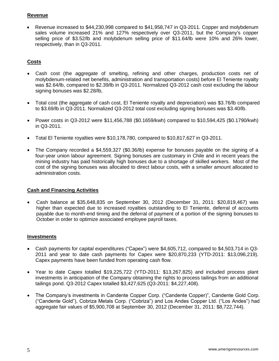# **Revenue**

 Revenue increased to \$44,230,998 compared to \$41,958,747 in Q3-2011. Copper and molybdenum sales volume increased 21% and 127% respectively over Q3-2011, but the Company's copper selling price of \$3.52/lb and molybdenum selling price of \$11.64/lb were 10% and 26% lower, respectively, than in Q3-2011.

# **Costs**

- Cash cost (the aggregate of smelting, refining and other charges, production costs net of molybdenum-related net benefits, administration and transportation costs) before El Teniente royalty was \$2.64/lb, compared to \$2.39/lb in Q3-2011. Normalized Q3-2012 cash cost excluding the labour signing bonuses was \$2.28/lb,
- Total cost (the aggregate of cash cost, El Teniente royalty and depreciation) was \$3.76/lb compared to \$3.69/lb in Q3-2011. Normalized Q3-2012 total cost excluding signing bonuses was \$3.40/lb.
- Power costs in Q3-2012 were \$11,456,788 (\$0.1659/kwh) compared to \$10,594,425 (\$0.1790/kwh) in Q3-2011.
- Total El Teniente royalties were \$10,178,780, compared to \$10,817,627 in Q3-2011.
- The Company recorded a \$4,559,327 (\$0.36/lb) expense for bonuses payable on the signing of a four-year union labour agreement. Signing bonuses are customary in Chile and in recent years the mining industry has paid historically high bonuses due to a shortage of skilled workers. Most of the cost of the signing bonuses was allocated to direct labour costs, with a smaller amount allocated to administration costs.

# **Cash and Financing Activities**

 Cash balance at \$35,648,835 on September 30, 2012 (December 31, 2011: \$20,819,467) was higher than expected due to increased royalties outstanding to El Teniente, deferral of accounts payable due to month-end timing and the deferral of payment of a portion of the signing bonuses to October in order to optimize associated employee payroll taxes.

# **Investments**

- Cash payments for capital expenditures ("Capex") were \$4,605,712, compared to \$4,503,714 in Q3- 2011 and year to date cash payments for Capex were \$20,870,233 (YTD-2011: \$13,096,219). Capex payments have been funded from operating cash flow.
- Year to date Capex totalled \$19,225,722 (YTD-2011: \$13,267,825) and included process plant investments in anticipation of the Company obtaining the rights to process tailings from an additional tailings pond. Q3-2012 Capex totalled \$3,427,625 (Q3-2011: \$4,227,408).
- The Company's investments in Candente Copper Corp. ("Candente Copper)", Candente Gold Corp. ("Candente Gold"), Cobriza Metals Corp. ("Cobriza") and Los Andes Copper Ltd. ("Los Andes") had aggregate fair values of \$5,900,708 at September 30, 2012 (December 31, 2011: \$8,722,744).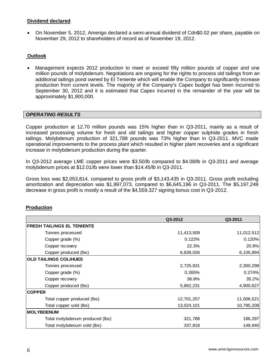# **Dividend declared**

 On November 5, 2012, Amerigo declared a semi-annual dividend of Cdn\$0.02 per share, payable on November 29, 2012 to shareholders of record as of November 19, 2012.

# **Outlook**

 Management expects 2012 production to meet or exceed fifty million pounds of copper and one million pounds of molybdenum. Negotiations are ongoing for the rights to process old tailings from an additional tailings pond owned by El Teniente which will enable the Company to significantly increase production from current levels. The majority of the Company's Capex budget has been incurred to September 30, 2012 and it is estimated that Capex incurred in the remainder of the year will be approximately \$1,900,000.

## *OPERATING RESULTS*

Copper production at 12.70 million pounds was 15% higher than in Q3-2011, mainly as a result of increased processing volume for fresh and old tailings and higher copper sulphide grades in fresh tailings. Molybdenum production of 321,788 pounds was 73% higher than in Q3-2011. MVC made operational improvements to the process plant which resulted in higher plant recoveries and a significant increase in molybdenum production during the quarter.

In Q3-2012 average LME copper prices were \$3.50/lb compared to \$4.08/lb in Q3-2011 and average molybdenum prices at \$12.01/lb were lower than \$14.45/lb in Q3-2011.

Gross loss was \$2,053,814, compared to gross profit of \$3,143,435 in Q3-2011. Gross profit excluding amortization and depreciation was \$1,997,073, compared to \$6,645,196 in Q3-2011. The \$5,197,249 decrease in gross profit is mostly a result of the \$4,559,327 signing bonus cost in Q3-2012.

### **Production**

|                                   | Q3-2012    | Q3-2011    |
|-----------------------------------|------------|------------|
| <b>FRESH TAILINGS EL TENIENTE</b> |            |            |
| Tonnes processed                  | 11,413,509 | 11,012,512 |
| Copper grade (%)                  | 0.122%     | 0.120%     |
| Copper recovery                   | 22.3%      | 20.9%      |
| Copper produced (lbs)             | 6,839,026  | 6,105,894  |
| <b>OLD TAILINGS COLIHUES</b>      |            |            |
| Tonnes processed                  | 2,725,831  | 2,300,298  |
| Copper grade (%)                  | 0.265%     | 0.274%     |
| Copper recovery                   | 36.8%      | 35.2%      |
| Copper produced (lbs)             | 5,862,231  | 4,900,627  |
| <b>COPPER</b>                     |            |            |
| Total copper produced (lbs)       | 12,701,257 | 11,006,521 |
| Total copper sold (lbs)           | 13,024,101 | 10,795,208 |
| <b>MOLYBDENUM</b>                 |            |            |
| Total molybdenum produced (lbs)   | 321,788    | 186,297    |
| Total molybdenum sold (lbs)       | 337,818    | 148,940    |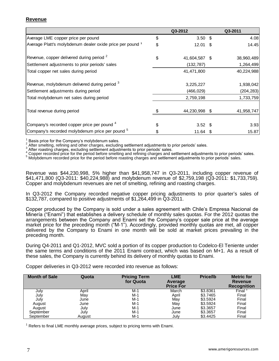## **Revenue**

|                                                            |    | Q3-2012       | Q3-2011    |
|------------------------------------------------------------|----|---------------|------------|
| Average LME copper price per pound                         | \$ | $3.50$ \$     | 4.08       |
| Average Platt's molybdenum dealer oxide price per pound 1  | \$ | $12.01$ \$    | 14.45      |
| Revenue, copper delivered during period <sup>2</sup>       | S  | 41,604,587 \$ | 38,960,489 |
| Settlement adjustments to prior periods' sales             |    | (132, 787)    | 1,264,499  |
| Total copper net sales during period                       |    | 41,471,800    | 40,224,988 |
| Revenue, molybdenum delivered during period $^3$           |    | 3,225,227     | 1,938,042  |
| Settlement adjustments during period                       |    | (466, 029)    | (204, 283) |
| Total molybdenum net sales during period                   |    | 2,759,198     | 1,733,759  |
| Total revenue during period                                |    | 44,230,998 \$ | 41,958,747 |
| Company's recorded copper price per pound <sup>4</sup>     |    | $3.52$ \$     | 3.93       |
| Company's recorded molybdenum price per pound <sup>5</sup> |    | $11.64$ \$    | 15.87      |

1 Basis price for the Company's molybdenum sales.

2 After smelting, refining and other charges, excluding settlement adjustments to prior periods' sales.

3 After roasting charges, excluding settlement adjustments to prior periods' sales.

Copper recorded price for the period before smelting and refining charges and settlement adjustments to prior periods' sales.

5 Molybdenum recorded price for the period before roasting charges and settlement adjustments to prior periods' sales.

Revenue was \$44,230,998, 5% higher than \$41,958,747 in Q3-2011, including copper revenue of \$41,471,800 (Q3-2011: \$40,224,988) and molybdenum revenue of \$2,759,198 (Q3-2011: \$1,733,759). Copper and molybdenum revenues are net of smelting, refining and roasting charges.

In Q3-2012 the Company recorded negative copper pricing adjustments to prior quarter's sales of \$132,787, compared to positive adjustments of \$1,264,499 in Q3-2011.

Copper produced by the Company is sold under a sales agreement with Chile's Empresa Nacional de Minería ("Enami") that establishes a delivery schedule of monthly sales quotas. For the 2012 quotas the arrangements between the Company and Enami set the Company's copper sale price at the average market price for the preceding month ("M-1"). Accordingly, provided monthly quotas are met, all copper delivered by the Company to Enami in one month will be sold at market prices prevailing in the preceding month.

During Q4-2011 and Q1-2012, MVC sold a portion of its copper production to Codelco-El Teniente under the same terms and conditions of the 2011 Enami contract, which was based on M+1. As a result of these sales, the Company is currently behind its delivery of monthly quotas to Enami.

Copper deliveries in Q3-2012 were recorded into revenue as follows:

| <b>Month of Sale</b> | Quota  | <b>Pricing Term</b><br>for Quota | <b>LME</b><br>Average<br><b>Price For</b> | <b>Price/lb</b> | <b>Metric for</b><br>Revenue<br><b>Recognition</b> |
|----------------------|--------|----------------------------------|-------------------------------------------|-----------------|----------------------------------------------------|
| July                 | April  | M-1                              | March                                     | \$3.8361        | Final                                              |
| July                 | May    | $M-1$                            | April                                     | \$3.7465        | Final                                              |
| July                 | June   | $M-1$                            | May                                       | \$3.5924        | Final                                              |
| August               | June   | $M-1$                            | May                                       | \$3.5924        | Final                                              |
| August               | July   | $M-1$                            | June                                      | \$3.3657        | Final                                              |
| September            | July   | $M-1$                            | June                                      | \$3.3657        | Final                                              |
| September            | August | $M-1$                            | July                                      | \$3.4425        | Final                                              |

 $1$  Refers to final LME monthly average prices, subject to pricing terms with Enami.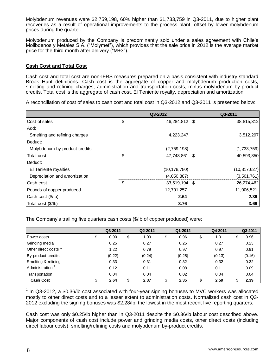Molybdenum revenues were \$2,759,198, 60% higher than \$1,733,759 in Q3-2011, due to higher plant recoveries as a result of operational improvements to the process plant, offset by lower molybdenum prices during the quarter.

Molybdenum produced by the Company is predominantly sold under a sales agreement with Chile's Molibdenos y Metales S.A. ("Molymet"), which provides that the sale price in 2012 is the average market price for the third month after delivery ("M+3").

## **Cash Cost and Total Cost**

Cash cost and total cost are non-IFRS measures prepared on a basis consistent with industry standard Brook Hunt definitions. Cash cost is the aggregate of copper and molybdenum production costs, smelting and refining charges, administration and transportation costs, minus molybdenum by-product credits. Total cost is the aggregate of cash cost, El Teniente royalty, depreciation and amortization.

A reconciliation of cost of sales to cash cost and total cost in Q3-2012 and Q3-2011 is presented below:

|                               | Q3-2012             |      | Q3-2011        |
|-------------------------------|---------------------|------|----------------|
| Cost of sales                 | \$<br>46,284,812 \$ |      | 38,815,312     |
| Add:                          |                     |      |                |
| Smelting and refining charges | 4,223,247           |      | 3,512,297      |
| Deduct:                       |                     |      |                |
| Molybdenum by-product credits | (2,759,198)         |      | (1,733,759)    |
| Total cost                    | \$<br>47,748,861    | - \$ | 40,593,850     |
| Deduct:                       |                     |      |                |
| El Teniente royalties         | (10, 178, 780)      |      | (10, 817, 627) |
| Depreciation and amortization | (4,050,887)         |      | (3,501,761)    |
| lCash cost                    | \$<br>33,519,194 \$ |      | 26,274,462     |
| Pounds of copper produced     | 12,701,257          |      | 11,006,521     |
| Cash cost (\$/lb)             | 2.64                |      | 2.39           |
| Total cost (\$/lb)            | 3.76                |      | 3.69           |

The Company's trailing five quarters cash costs (\$/lb of copper produced) were:

|                             | Q3-2012    | Q2-2012    | Q1-2012    | Q4-2011    | Q3-2011 |
|-----------------------------|------------|------------|------------|------------|---------|
| <b>Power costs</b>          | \$<br>0.90 | \$<br>1.09 | \$<br>0.96 | \$<br>1.01 | 0.96    |
| Grinding media              | 0.25       | 0.27       | 0.25       | 0.27       | 0.23    |
| Other direct costs          | 1.22       | 0.79       | 0.97       | 0.97       | 0.91    |
| By-product credits          | (0.22)     | (0.24)     | (0.25)     | (0.13)     | (0.16)  |
| Smelting & refining         | 0.33       | 0.31       | 0.32       | 0.32       | 0.32    |
| Administration <sup>1</sup> | 0.12       | 0.11       | 0.08       | 0.11       | 0.09    |
| Transportation              | 0.04       | 0.04       | 0.02       | 0.04       | 0.04    |
| <b>Cash Cost</b>            | \$<br>2.64 | \$<br>2.37 | \$<br>2.35 | \$<br>2.59 | 2.39    |

<sup>1</sup> In Q3-2012, a \$0.36/lb cost associated with four-year signing bonuses to MVC workers was allocated mostly to other direct costs and to a lesser extent to administration costs. Normalized cash cost in Q3- 2012 excluding the signing bonuses was \$2.28/lb, the lowest in the most recent five reporting quarters.

Cash cost was only \$0.25/lb higher than in Q3-2011 despite the \$0.36/lb labour cost described above. Major components of cash cost include power and grinding media costs, other direct costs (including direct labour costs), smelting/refining costs and molybdenum by-product credits.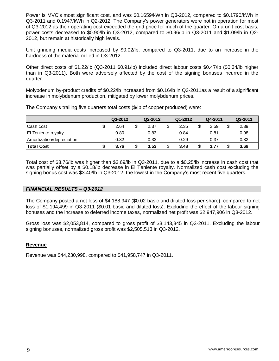Power is MVC's most significant cost, and was \$0.1659/kWh in Q3-2012, compared to \$0.1790/kWh in Q3-2011 and 0.1947/kWh in Q2-2012. The Company's power generators were not in operation for most of Q3-2012 as their operating cost exceeded the grid price for much of the quarter. On a unit cost basis, power costs decreased to \$0.90/lb in Q3-2012, compared to \$0.96/lb in Q3-2011 and \$1.09/lb in Q2- 2012, but remain at historically high levels.

Unit grinding media costs increased by \$0.02/lb, compared to Q3-2011, due to an increase in the hardness of the material milled in Q3-2012.

Other direct costs of \$1.22/lb (Q3-2011 \$0.91/lb) included direct labour costs \$0.47/lb (\$0.34/lb higher than in Q3-2011). Both were adversely affected by the cost of the signing bonuses incurred in the quarter.

Molybdenum by-product credits of \$0.22/lb increased from \$0.16/lb in Q3-2011as a result of a significant increase in molybdenum production, mitigated by lower molybdenum prices.

The Company's trailing five quarters total costs (\$/lb of copper produced) were:

|                            | Q3-2012 | Q2-2012 |   | Q1-2012 | Q4-2011 | Q3-2011 |
|----------------------------|---------|---------|---|---------|---------|---------|
| Cash cost                  | 2.64    | 2.37    |   | 2.35    | 2.59    | 2.39    |
| <b>El Teniente royalty</b> | 0.80    | 0.83    |   | 0.84    | 0.81    | 0.98    |
| Amortization/depreciation  | 0.32    | 0.33    |   | 0.29    | 0.37    | 0.32    |
| <b>Total Cost</b>          | 3.76    | 3.53    | ን | 3.48    | 3.77    | 3.69    |

Total cost of \$3.76/lb was higher than \$3.69/lb in Q3-2011, due to a \$0.25/lb increase in cash cost that was partially offset by a \$0.18/lb decrease in El Teniente royalty. Normalized cash cost excluding the signing bonus cost was \$3.40/lb in Q3-2012, the lowest in the Company's most recent five quarters.

# *FINANCIAL RESULTS – Q3-2012*

The Company posted a net loss of \$4,188,947 (\$0.02 basic and diluted loss per share), compared to net loss of \$1,194,499 in Q3-2011 (\$0.01 basic and diluted loss). Excluding the effect of the labour signing bonuses and the increase to deferred income taxes, normalized net profit was \$2,947,906 in Q3-2012.

Gross loss was \$2,053,814, compared to gross profit of \$3,143,345 in Q3-2011. Excluding the labour signing bonuses, normalized gross profit was \$2,505,513 in Q3-2012.

### **Revenue**

Revenue was \$44,230,998, compared to \$41,958,747 in Q3-2011.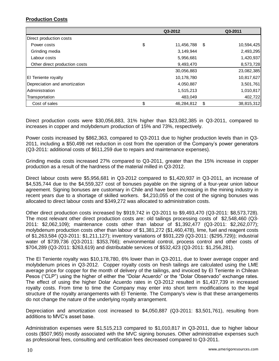# **Production Costs**

|                               |    | Q3-2011    |                  |
|-------------------------------|----|------------|------------------|
| Direct production costs       |    |            |                  |
| Power costs                   | \$ | 11,456,788 | \$<br>10,594,425 |
| Grinding media                |    | 3,149,944  | 2,493,295        |
| Labour costs                  |    | 5,956,681  | 1,420,937        |
| Other direct production costs |    | 9,493,470  | 8,573,728        |
|                               |    | 30,056,883 | 23,082,385       |
| <b>El Teniente royalty</b>    |    | 10,178,780 | 10,817,627       |
| Depreciation and amortization |    | 4,050,887  | 3,501,761        |
| Administration                |    | 1,515,213  | 1,010,817        |
| Transportation                |    | 483,049    | 402,722          |
| Cost of sales                 | \$ | 46,284,812 | 38,815,312<br>\$ |

Direct production costs were \$30,056,883, 31% higher than \$23,082,385 in Q3-2011, compared to increases in copper and molybdenum production of 15% and 73%, respectively.

Power costs increased by \$862,363, compared to Q3-2011 due to higher production levels than in Q3- 2011, including a \$50,498 net reduction in cost from the operation of the Company's power generators (Q3-2011: additional costs of \$611,259 due to repairs and maintenance expenses).

Grinding media costs increased 27% compared to Q3-2011, greater than the 15% increase in copper production as a result of the hardness of the material milled in Q3-2012.

Direct labour costs were \$5,956,681 in Q3-2012 compared to \$1,420,937 in Q3-2011, an increase of \$4,535,744 due to the \$4,559,327 cost of bonuses payable on the signing of a four-year union labour agreement. Signing bonuses are customary in Chile and have been increasing in the mining industry in recent years due to a shortage of skilled workers. \$4,210,055 of the cost of the signing bonuses was allocated to direct labour costs and \$349,272 was allocated to administration costs.

Other direct production costs increased by \$919,742 in Q3-2011 to \$9,493,470 (Q3-2011: \$8,573,728). The most relevant other direct production costs are: old tailings processing costs of \$2,548,460 (Q3- 2011: \$2,062,109); maintenance costs other than labour of \$1,392,477 (Q3-2011: \$2,262,077); molybdenum production costs other than labour of \$1,381,272 (\$1,460,478), lime, fuel and reagent costs of \$1,263,584 (Q3-2011: \$1,211,127); inventory variations of \$931,229 (Q3-2011: (\$295,729)); industrial water of \$739,736 (Q3-2011: \$353,766); environmental control, process control and other costs of \$704,289 (Q3-2011: \$263,619) and distributable services of \$532,423 (Q3-2011: \$1,256,281).

The El Teniente royalty was \$10,178,780, 6% lower than in Q3-2011, due to lower average copper and molybdenum prices in Q3-2012. Copper royalty costs on fresh tailings are calculated using the LME average price for copper for the month of delivery of the tailings, and invoiced by El Teniente in Chilean Pesos ("CLP") using the higher of either the "Dolar Acuerdo" or the "Dolar Observado" exchange rates. The effect of using the higher Dolar Acuerdo rates in Q3-2012 resulted in \$1,437,739 in increased royalty costs. From time to time the Company may enter into short term modifications to the legal structure of the royalty arrangements with El Teniente. The Company's view is that these arrangements do not change the nature of the underlying royalty arrangement.

Depreciation and amortization cost increased to \$4,050,887 (Q3-2011: \$3,501,761), resulting from additions to MVC's asset base.

Administration expenses were \$1,515,213 compared to \$1,010,817 in Q3-2011, due to higher labour costs (\$507,965) mostly associated with the MVC signing bonuses. Other administrative expenses such as professional fees, consulting and certification fees decreased compared to Q3-2011.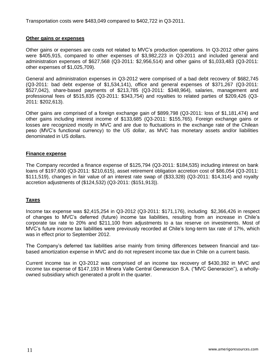Transportation costs were \$483,049 compared to \$402,722 in Q3-2011.

## **Other gains or expenses**

Other gains or expenses are costs not related to MVC's production operations. In Q3-2012 other gains were \$405,915, compared to other expenses of \$3,982,223 in Q3-2011 and included general and administration expenses of \$627,568 (Q3-2011: \$2,956,514) and other gains of \$1,033,483 (Q3-2011: other expenses of \$1,025,709).

General and administration expenses in Q3-2012 were comprised of a bad debt recovery of \$682,745 (Q3-2011: bad debt expense of \$1,534,141), office and general expenses of \$371,267 (Q3-2011: \$527,042), share-based payments of \$213,785 (Q3-2011: \$348,964), salaries, management and professional fees of \$515,835 (Q3-2011: \$343,754) and royalties to related parties of \$209,426 (Q3- 2011: \$202,613).

Other gains are comprised of a foreign exchange gain of \$899,798 (Q3-2011: loss of \$1,181,474) and other gains including interest income of \$133,685 (Q3-2011: \$155,765). Foreign exchange gains or losses are recognized mostly in MVC and are due to fluctuations in the exchange rate of the Chilean peso (MVC's functional currency) to the US dollar, as MVC has monetary assets and/or liabilities denominated in US dollars.

## **Finance expense**

The Company recorded a finance expense of \$125,794 (Q3-2011: \$184,535) including interest on bank loans of \$197,600 (Q3-2011: \$210,615), asset retirement obligation accretion cost of \$86,054 (Q3-2011: \$111,519), changes in fair value of an interest rate swap of (\$33,328) (Q3-2011: \$14,314) and royalty accretion adjustments of (\$124,532) (Q3-2011: (\$151,913)).

### **Taxes**

Income tax expense was \$2,415,254 in Q3-2012 (Q3-2011: \$171,176), including \$2,366,426 in respect of changes to MVC's deferred (future) income tax liabilities, resulting from an increase in Chile's corporate tax rate to 20% and \$211,100 from adjustments to a tax reserve on investments. Most of MVC's future income tax liabilities were previously recorded at Chile's long-term tax rate of 17%, which was in effect prior to September 2012.

The Company's deferred tax liabilities arise mainly from timing differences between financial and taxbased amortization expense in MVC and do not represent income tax due in Chile on a current basis.

Current income tax in Q3-2012 was comprised of an income tax recovery of \$430,392 in MVC and income tax expense of \$147,193 in Minera Valle Central Generacion S.A. ("MVC Generacion"), a whollyowned subsidiary which generated a profit in the quarter.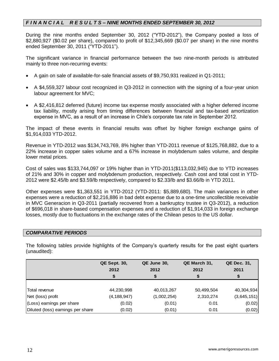# *F I N A N C I A L R E S U L T S – NINE MONTHS ENDED SEPTEMBER 30, 2012*

During the nine months ended September 30, 2012 ("YTD-2012"), the Company posted a loss of \$2,880,927 (\$0.02 per share), compared to profit of \$12,345,669 (\$0.07 per share) in the nine months ended September 30, 2011 ("YTD-2011").

The significant variance in financial performance between the two nine-month periods is attributed mainly to three non-recurring events:

- A gain on sale of available-for-sale financial assets of \$9,750,931 realized in Q1-2011;
- A \$4,559,327 labour cost recognized in Q3-2012 in connection with the signing of a four-year union labour agreement for MVC;
- A \$2,416,812 deferred (future) income tax expense mostly associated with a higher deferred income tax liability, mostly arising from timing differences between financial and tax-based amortization expense in MVC, as a result of an increase in Chile's corporate tax rate in September 2012.

The impact of these events in financial results was offset by higher foreign exchange gains of \$1,914,033 YTD-2012.

Revenue in YTD-2012 was \$134,743,769, 8% higher than YTD-2011 revenue of \$125,768,882, due to a 22% increase in copper sales volume and a 67% increase in molybdenum sales volume, and despite lower metal prices.

Cost of sales was \$133,744,097 or 19% higher than in YTD-2011(\$113,032,945) due to YTD increases of 21% and 30% in copper and molybdenum production, respectively. Cash cost and total cost in YTD-2012 were \$2.45/lb and \$3.59/lb respectively, compared to \$2.33/lb and \$3.66/lb in YTD 2011.

Other expenses were \$1,363,551 in YTD-2012 (YTD-2011: \$5,889,680). The main variances in other expenses were a reduction of \$2,216,886 in bad debt expense due to a one-time uncollectible receivable in MVC Generacion in Q3-2011 (partially recovered from a bankruptcy trustee in Q3-2012), a reduction of \$696,018 in share-based compensation expenses and a reduction of \$1,914,033 in foreign exchange losses, mostly due to fluctuations in the exchange rates of the Chilean pesos to the US dollar.

# *COMPARATIVE PERIODS*

The following tables provide highlights of the Company's quarterly results for the past eight quarters (unaudited):

|                                   | <b>QE Sept. 30,</b> | QE June 30, | QE March 31, | <b>QE Dec. 31,</b> |
|-----------------------------------|---------------------|-------------|--------------|--------------------|
|                                   | 2012                | 2012        | 2012         | 2011               |
|                                   | \$                  | S           |              | \$                 |
|                                   |                     |             |              |                    |
| Total revenue                     | 44,230,998          | 40,013,267  | 50,499,504   | 40,304,934         |
| Net (loss) profit                 | (4, 188, 947)       | (1,002,254) | 2,310,274    | (3,645,151)        |
| (Loss) earnings per share         | (0.02)              | (0.01)      | 0.01         | (0.02)             |
| Diluted (loss) earnings per share | (0.02)              | (0.01)      | 0.01         | (0.02)             |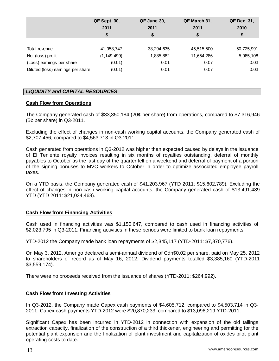|                                   | <b>QE Sept. 30,</b> | QE June 30, | QE March 31, | QE Dec. 31, |
|-----------------------------------|---------------------|-------------|--------------|-------------|
|                                   | 2011                | 2011        | 2011         | 2010        |
|                                   |                     |             |              |             |
|                                   |                     |             |              |             |
| Total revenue                     | 41,958,747          | 38,294,635  | 45,515,500   | 50,725,991  |
| Net (loss) profit                 | (1, 149, 499)       | 1,885,882   | 11,654,286   | 5,985,108   |
| (Loss) earnings per share         | (0.01)              | 0.01        | 0.07         | 0.03        |
| Diluted (loss) earnings per share | (0.01)              | 0.01        | 0.07         | 0.03        |

# *LIQUIDITY and CAPITAL RESOURCES*

## **Cash Flow from Operations**

The Company generated cash of \$33,350,184 (20¢ per share) from operations, compared to \$7,316,946 (5¢ per share) in Q3-2011.

Excluding the effect of changes in non-cash working capital accounts, the Company generated cash of \$2,707,456, compared to \$4,563,713 in Q3-2011.

Cash generated from operations in Q3-2012 was higher than expected caused by delays in the issuance of El Teniente royalty invoices resulting in six months of royalties outstanding, deferral of monthly payables to October as the last day of the quarter fell on a weekend and deferral of payment of a portion of the signing bonuses to MVC workers to October in order to optimize associated employee payroll taxes.

On a YTD basis, the Company generated cash of \$41,203,967 (YTD 2011: \$15,602,789). Excluding the effect of changes in non-cash working capital accounts, the Company generated cash of \$13,491,489 YTD (YTD 2011: \$21,034,468).

# **Cash Flow from Financing Activities**

Cash used in financing activities was \$1,150,647, compared to cash used in financing activities of \$2,023,795 in Q3-2011. Financing activities in these periods were limited to bank loan repayments.

YTD-2012 the Company made bank loan repayments of \$2,345,117 (YTD-2011: \$7,870,776).

On May 3, 2012, Amerigo declared a semi-annual dividend of Cdn\$0.02 per share, paid on May 25, 2012 to shareholders of record as of May 16, 2012. Dividend payments totalled \$3,385,160 (YTD-2011 \$3,559,174).

There were no proceeds received from the issuance of shares (YTD-2011: \$264,992).

# **Cash Flow from Investing Activities**

In Q3-2012, the Company made Capex cash payments of \$4,605,712, compared to \$4,503,714 in Q3- 2011. Capex cash payments YTD-2012 were \$20,870,233, compared to \$13,096,219 YTD-2011.

Significant Capex has been incurred in YTD-2012 in connection with expansion of the old tailings extraction capacity, finalization of the construction of a third thickener, engineering and permitting for the potential plant expansion and the finalization of plant investment and capitalization of oxides pilot plant operating costs to date.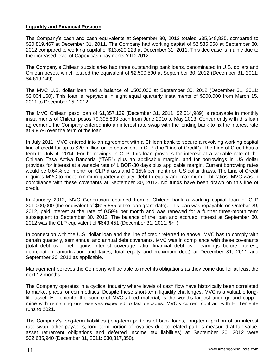## **Liquidity and Financial Position**

The Company's cash and cash equivalents at September 30, 2012 totaled \$35,648,835, compared to \$20,819,467 at December 31, 2011. The Company had working capital of \$2,535,558 at September 30, 2012 compared to working capital of \$13,620,223 at December 31, 2011. This decrease is mainly due to the increased level of Capex cash payments YTD-2012.

The Company's Chilean subsidiaries had three outstanding bank loans, denominated in U.S. dollars and Chilean pesos, which totaled the equivalent of \$2,500,590 at September 30, 2012 (December 31, 2011: \$4,619,149).

The MVC U.S. dollar loan had a balance of \$500,000 at September 30, 2012 (December 31, 2011: \$2,004,160). This loan is repayable in eight equal quarterly installments of \$500,000 from March 15, 2011 to December 15, 2012.

The MVC Chilean peso loan of \$1,357,139 (December 31, 2011: \$2,614,989) is repayable in monthly installments of Chilean pesos 79,395,833 each from June 2010 to May 2013. Concurrently with this loan agreement, the Company entered into an interest rate swap with the lending bank to fix the interest rate at 9.95% over the term of the loan.

In July 2011, MVC entered into an agreement with a Chilean bank to secure a revolving working capital line of credit for up to \$20 million or its equivalent in CLP (the "Line of Credit"). The Line of Credit has a term to July 4, 2014. For borrowings in CLP, this loan provides for interest at a variable rate of the Chilean Tasa Activa Bancaria ("TAB") plus an applicable margin, and for borrowings in US dollar provides for interest at a variable rate of LIBOR-30 days plus applicable margin. Current borrowing rates would be 0.64% per month on CLP draws and 0.15% per month on US dollar draws. The Line of Credit requires MVC to meet minimum quarterly equity, debt to equity and maximum debt ratios. MVC was in compliance with these covenants at September 30, 2012. No funds have been drawn on this line of credit.

In January 2012, MVC Generacion obtained from a Chilean bank a working capital loan of CLP 301,000,000 (the equivalent of \$615,555 at the loan grant date). This loan was repayable on October 29, 2012, paid interest at the rate of 0.59% per month and was renewed for a further three-month term subsequent to September 30, 2012. The balance of the loan and accrued interest at September 30, 2012 was the CLP equivalent of \$643,451 (December 31, 2011: \$nil).

In connection with the U.S. dollar loan and the line of credit referred to above, MVC has to comply with certain quarterly, semiannual and annual debt covenants. MVC was in compliance with these covenants (total debt over net equity, interest coverage ratio, financial debt over earnings before interest, depreciation, amortization and taxes, total equity and maximum debt) at December 31, 2011 and September 30, 2012 as applicable.

Management believes the Company will be able to meet its obligations as they come due for at least the next 12 months.

The Company operates in a cyclical industry where levels of cash flow have historically been correlated to market prices for commodities. Despite these short-term liquidity challenges, MVC is a valuable longlife asset. El Teniente, the source of MVC's feed material, is the world's largest underground copper mine with remaining ore reserves expected to last decades. MVC's current contract with El Teniente runs to 2021.

The Company's long-term liabilities (long-term portions of bank loans, long-term portion of an interest rate swap, other payables, long-term portion of royalties due to related parties measured at fair value, asset retirement obligations and deferred income tax liabilities) at September 30, 2012 were \$32,685,940 (December 31, 2011: \$30,317,350).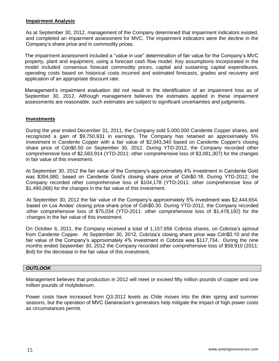# **Impairment Analysis**

As at September 30, 2012, management of the Company determined that impairment indicators existed, and completed an impairment assessment for MVC. The impairment indicators were the decline in the Company's share price and in commodity prices.

The impairment assessment included a "value in use" determination of fair value for the Company's MVC property, plant and equipment, using a forecast cash flow model. Key assumptions incorporated in the model included consensus forecast commodity prices, capital and sustaining capital expenditures, operating costs based on historical costs incurred and estimated forecasts, grades and recovery and application of an appropriate discount rate.

Management's impairment evaluation did not result in the identification of an impairment loss as of September 30, 2012. Although management believes the estimates applied in these impairment assessments are reasonable, such estimates are subject to significant uncertainties and judgments.

### **Investments**

During the year ended December 31, 2011, the Company sold 5,000,000 Candente Copper shares, and recognized a gain of \$9,750,931 in earnings. The Company has retained an approximately 5% investment in Candente Copper with a fair value of \$2,943,340 based on Candente Copper's closing share price of Cdn\$0.50 on September 30, 2012. During YTD-2012, the Company recorded other comprehensive loss of \$2,583,914 (YTD-2011: other comprehensive loss of \$3,081,307) for the changes in fair value of this investment.

At September 30, 2012 the fair value of the Company's approximately 4% investment in Candente Gold was \$394,980, based on Candente Gold's closing share price of Cdn\$0.18. During YTD-2012, the Company recorded other comprehensive loss of \$104,178 (YTD-2011: other comprehensive loss of \$1,490,066) for the changes in the fair value of this investment.

At September 30, 2012 the fair value of the Company's approximately 5% investment was \$2,444,654, based on Los Andes' closing price share price of Cdn\$0.30. During YTD-2012, the Company recorded other comprehensive loss of \$75,034 (YTD-2011: other comprehensive loss of \$1,478,192) for the changes in the fair value of this investment.

On October 6, 2011, the Company received a total of 1,157,656 Cobriza shares, on Cobriza's spinout from Candente Copper. At September 30, 2012, Cobriza's closing share price was Cdn\$0.10 and the fair value of the Company's approximately 4% investment in Cobriza was \$117,734. During the nine months ended September 30, 2012 the Company recorded other comprehensive loss of \$58,910 (2011: \$nil) for the decrease in the fair value of this investment.

### *OUTLOOK*

Management believes that production in 2012 will meet or exceed fifty million pounds of copper and one million pounds of molybdenum.

Power costs have increased from Q3-2012 levels as Chile moves into the drier spring and summer seasons, but the operation of MVC Generacion's generators help mitigate the impact of high power costs as circumstances permit.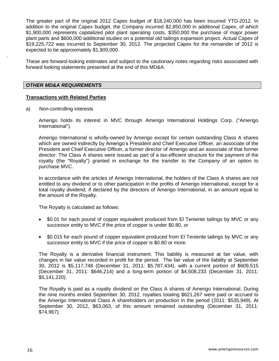The greater part of the original 2012 Capex budget of \$18,240,000 has been incurred YTD-2012. In addition to the original Capex budget, the Company incurred \$2,850,000 in additional Capex, of which \$1,900,000 represents capitalized pilot plant operating costs, \$350,000 the purchase of major power plant parts and \$600,000 additional studies on a potential old tailings expansion project. Actual Capex of \$19,225,722 was incurred to September 30, 2012. The projected Capex for the remainder of 2012 is expected to be approximately \$1,900,000.

These are forward-looking estimates and subject to the cautionary notes regarding risks associated with forward looking statements presented at the end of this MD&A.

## *OTHER MD&A REQUIREMENTS*

.

### **Transactions with Related Parties**

a) Non-controlling interests

Amerigo holds its interest in MVC through Amerigo International Holdings Corp. ("Amerigo International").

Amerigo International is wholly-owned by Amerigo except for certain outstanding Class A shares which are owned indirectly by Amerigo's President and Chief Executive Officer, an associate of the President and Chief Executive Officer, a former director of Amerigo and an associate of that former director. The Class A shares were issued as part of a tax-efficient structure for the payment of the royalty (the "Royalty") granted in exchange for the transfer to the Company of an option to purchase MVC.

In accordance with the articles of Amerigo International, the holders of the Class A shares are not entitled to any dividend or to other participation in the profits of Amerigo International, except for a total royalty dividend, if declared by the directors of Amerigo International, in an amount equal to the amount of the Royalty.

The Royalty is calculated as follows:

- \$0.01 for each pound of copper equivalent produced from El Teniente tailings by MVC or any successor entity to MVC if the price of copper is under \$0.80, or
- \$0.015 for each pound of copper equivalent produced from El Teniente tailings by MVC or any successor entity to MVC if the price of copper is \$0.80 or more.

The Royalty is a derivative financial instrument. This liability is measured at fair value, with changes in fair value recorded in profit for the period. The fair value of the liability at September 30, 2012 is \$5,117,748 (December 31, 2011: \$5,787,434), with a current portion of \$609,515 (December 31, 2011: \$646,214) and a long-term portion of \$4,508,233 (December 31, 2011: \$5,141,220).

The Royalty is paid as a royalty dividend on the Class A shares of Amerigo International. During the nine months ended September 30, 2012, royalties totaling \$621,267 were paid or accrued to the Amerigo International Class A shareholders on production in the period (2011: \$535,949). At September 30, 2012, \$63,063, of this amount remained outstanding (December 31, 2011: \$74,967).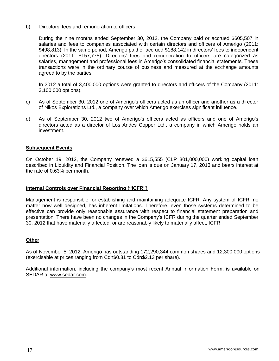## b) Directors' fees and remuneration to officers

During the nine months ended September 30, 2012, the Company paid or accrued \$605,507 in salaries and fees to companies associated with certain directors and officers of Amerigo (2011: \$498,813). In the same period, Amerigo paid or accrued \$188,142 in directors' fees to independent directors (2011: \$157,775). Directors' fees and remuneration to officers are categorized as salaries, management and professional fees in Amerigo's consolidated financial statements. These transactions were in the ordinary course of business and measured at the exchange amounts agreed to by the parties.

In 2012 a total of 3,400,000 options were granted to directors and officers of the Company (2011: 3,100,000 options).

- c) As of September 30, 2012 one of Amerigo's officers acted as an officer and another as a director of Nikos Explorations Ltd., a company over which Amerigo exercises significant influence.
- d) As of September 30, 2012 two of Amerigo's officers acted as officers and one of Amerigo's directors acted as a director of Los Andes Copper Ltd., a company in which Amerigo holds an investment.

# **Subsequent Events**

On October 19, 2012, the Company renewed a \$615,555 (CLP 301,000,000) working capital loan described in Liquidity and Financial Position. The loan is due on January 17, 2013 and bears interest at the rate of 0.63% per month.

### **Internal Controls over Financial Reporting ("ICFR")**

Management is responsible for establishing and maintaining adequate ICFR. Any system of ICFR, no matter how well designed, has inherent limitations. Therefore, even those systems determined to be effective can provide only reasonable assurance with respect to financial statement preparation and presentation. There have been no changes in the Company's ICFR during the quarter ended September 30, 2012 that have materially affected, or are reasonably likely to materially affect, ICFR.

### **Other**

As of November 5, 2012, Amerigo has outstanding 172,290,344 common shares and 12,300,000 options (exercisable at prices ranging from Cdn\$0.31 to Cdn\$2.13 per share).

Additional information, including the company's most recent Annual Information Form, is available on SEDAR at [www.sedar.com.](http://www.sedar.com/)